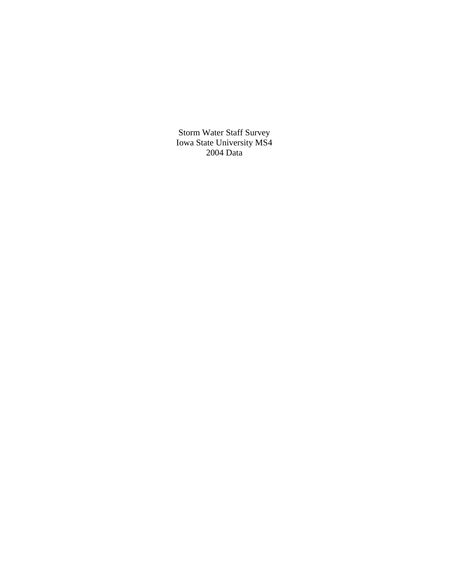Storm Water Staff Survey Iowa State University MS4 2004 Data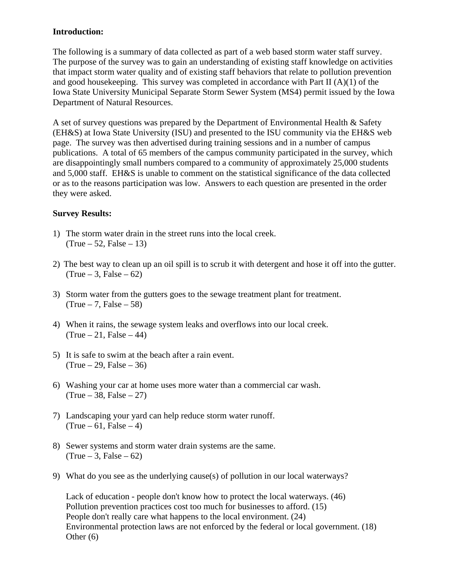## **Introduction:**

The following is a summary of data collected as part of a web based storm water staff survey. The purpose of the survey was to gain an understanding of existing staff knowledge on activities that impact storm water quality and of existing staff behaviors that relate to pollution prevention and good housekeeping. This survey was completed in accordance with Part II (A)(1) of the Iowa State University Municipal Separate Storm Sewer System (MS4) permit issued by the Iowa Department of Natural Resources.

A set of survey questions was prepared by the Department of Environmental Health & Safety (EH&S) at Iowa State University (ISU) and presented to the ISU community via the EH&S web page. The survey was then advertised during training sessions and in a number of campus publications. A total of 65 members of the campus community participated in the survey, which are disappointingly small numbers compared to a community of approximately 25,000 students and 5,000 staff. EH&S is unable to comment on the statistical significance of the data collected or as to the reasons participation was low. Answers to each question are presented in the order they were asked.

## **Survey Results:**

- 1) The storm water drain in the street runs into the local creek.  $(True - 52, False - 13)$
- 2) The best way to clean up an oil spill is to scrub it with detergent and hose it off into the gutter.  $(True - 3, False - 62)$
- 3) Storm water from the gutters goes to the sewage treatment plant for treatment.  $(True - 7, False - 58)$
- 4) When it rains, the sewage system leaks and overflows into our local creek.  $(True - 21, False - 44)$
- 5) It is safe to swim at the beach after a rain event.  $(True - 29, False - 36)$
- 6) Washing your car at home uses more water than a commercial car wash.  $(True - 38, False - 27)$
- 7) Landscaping your yard can help reduce storm water runoff.  $(True - 61, False - 4)$
- 8) Sewer systems and storm water drain systems are the same.  $(True - 3, False - 62)$
- 9) What do you see as the underlying cause(s) of pollution in our local waterways?

Lack of education - people don't know how to protect the local waterways. (46) Pollution prevention practices cost too much for businesses to afford. (15) People don't really care what happens to the local environment. (24) Environmental protection laws are not enforced by the federal or local government. (18) Other (6)